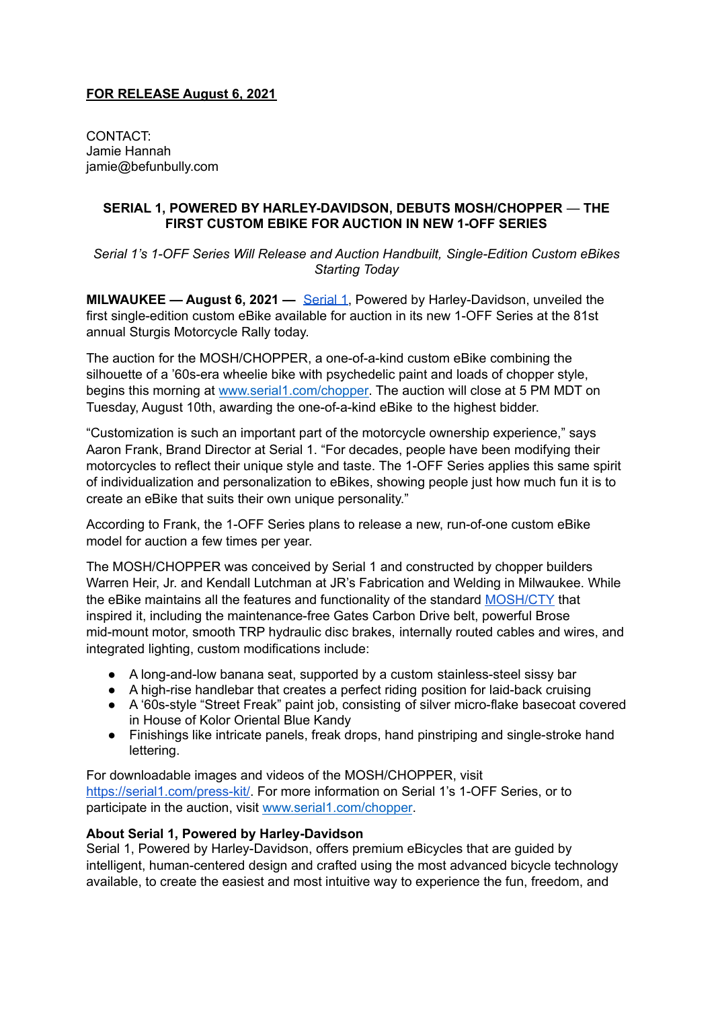## **FOR RELEASE August 6, 2021**

CONTACT: Jamie Hannah jamie@befunbully.com

## **SERIAL 1, POWERED BY HARLEY-DAVIDSON, DEBUTS MOSH/CHOPPER** — **THE FIRST CUSTOM EBIKE FOR AUCTION IN NEW 1-OFF SERIES**

*Serial 1's 1-OFF Series Will Release and Auction Handbuilt, Single-Edition Custom eBikes Starting Today*

**MILWAUKEE — August 6, 2021 —** [Serial](http://www.serial1.com) 1, Powered by Harley-Davidson, unveiled the first single-edition custom eBike available for auction in its new 1-OFF Series at the 81st annual Sturgis Motorcycle Rally today.

The auction for the MOSH/CHOPPER, a one-of-a-kind custom eBike combining the silhouette of a '60s-era wheelie bike with psychedelic paint and loads of chopper style, begins this morning at [www.serial1.com/chopper.](http://www.serial1.com/chopper) The auction will close at 5 PM MDT on Tuesday, August 10th, awarding the one-of-a-kind eBike to the highest bidder.

"Customization is such an important part of the motorcycle ownership experience," says Aaron Frank, Brand Director at Serial 1. "For decades, people have been modifying their motorcycles to reflect their unique style and taste. The 1-OFF Series applies this same spirit of individualization and personalization to eBikes, showing people just how much fun it is to create an eBike that suits their own unique personality."

According to Frank, the 1-OFF Series plans to release a new, run-of-one custom eBike model for auction a few times per year.

The MOSH/CHOPPER was conceived by Serial 1 and constructed by chopper builders Warren Heir, Jr. and Kendall Lutchman at JR's Fabrication and Welding in Milwaukee. While the eBike maintains all the features and functionality of the standard [MOSH/CTY](https://www.serial1.com/product/mosh-cty/) that inspired it, including the maintenance-free Gates Carbon Drive belt, powerful Brose mid-mount motor, smooth TRP hydraulic disc brakes, internally routed cables and wires, and integrated lighting, custom modifications include:

- A long-and-low banana seat, supported by a custom stainless-steel sissy bar
- A high-rise handlebar that creates a perfect riding position for laid-back cruising
- A '60s-style "Street Freak" paint job, consisting of silver micro-flake basecoat covered in House of Kolor Oriental Blue Kandy
- Finishings like intricate panels, freak drops, hand pinstriping and single-stroke hand lettering.

For downloadable images and videos of the MOSH/CHOPPER, visit [https://serial1.com/press-kit/.](https://serial1.com/press-kit/) For more information on Serial 1's 1-OFF Series, or to participate in the auction, visit [www.serial1.com/chopper](http://www.serial1.com/chopper).

## **About Serial 1, Powered by Harley-Davidson**

Serial 1, Powered by Harley-Davidson, offers premium eBicycles that are guided by intelligent, human-centered design and crafted using the most advanced bicycle technology available, to create the easiest and most intuitive way to experience the fun, freedom, and